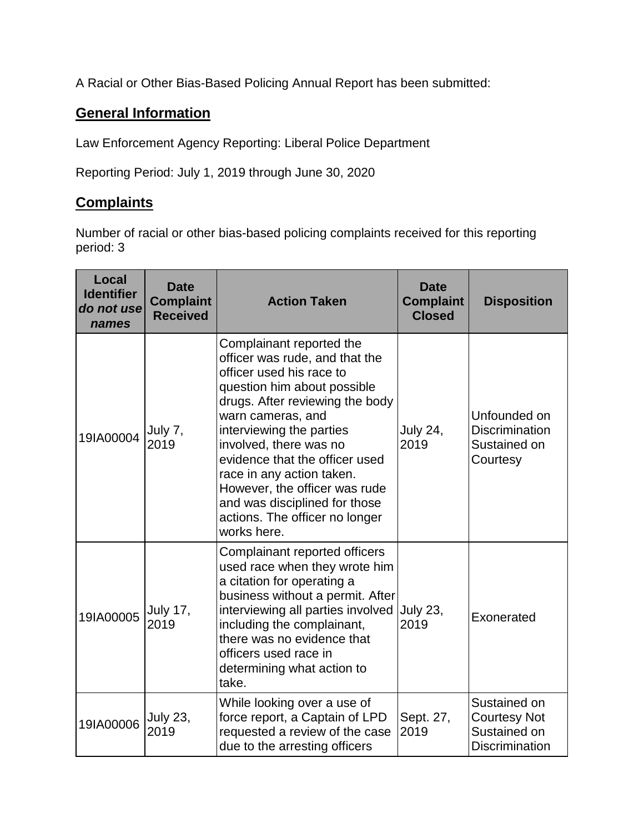A Racial or Other Bias-Based Policing Annual Report has been submitted:

## **General Information**

Law Enforcement Agency Reporting: Liberal Police Department

Reporting Period: July 1, 2019 through June 30, 2020

## **Complaints**

Number of racial or other bias-based policing complaints received for this reporting period: 3

| Local<br><b>Identifier</b><br>do not use<br>names | <b>Date</b><br><b>Complaint</b><br><b>Received</b> | <b>Action Taken</b>                                                                                                                                                                                                                                                                                                                                                                                                   | <b>Date</b><br><b>Complaint</b><br><b>Closed</b> | <b>Disposition</b>                                                           |
|---------------------------------------------------|----------------------------------------------------|-----------------------------------------------------------------------------------------------------------------------------------------------------------------------------------------------------------------------------------------------------------------------------------------------------------------------------------------------------------------------------------------------------------------------|--------------------------------------------------|------------------------------------------------------------------------------|
| 19IA00004                                         | July 7,<br>2019                                    | Complainant reported the<br>officer was rude, and that the<br>officer used his race to<br>question him about possible<br>drugs. After reviewing the body<br>warn cameras, and<br>interviewing the parties<br>involved, there was no<br>evidence that the officer used<br>race in any action taken.<br>However, the officer was rude<br>and was disciplined for those<br>actions. The officer no longer<br>works here. | <b>July 24,</b><br>2019                          | Unfounded on<br><b>Discrimination</b><br>Sustained on<br>Courtesy            |
| 19IA00005                                         | <b>July 17,</b><br>2019                            | Complainant reported officers<br>used race when they wrote him<br>a citation for operating a<br>business without a permit. After<br>interviewing all parties involved<br>including the complainant,<br>there was no evidence that<br>officers used race in<br>determining what action to<br>take.                                                                                                                     | July 23,<br>2019                                 | Exonerated                                                                   |
| 19IA00006                                         | <b>July 23,</b><br>2019                            | While looking over a use of<br>force report, a Captain of LPD<br>requested a review of the case<br>due to the arresting officers                                                                                                                                                                                                                                                                                      | Sept. 27,<br>2019                                | Sustained on<br><b>Courtesy Not</b><br>Sustained on<br><b>Discrimination</b> |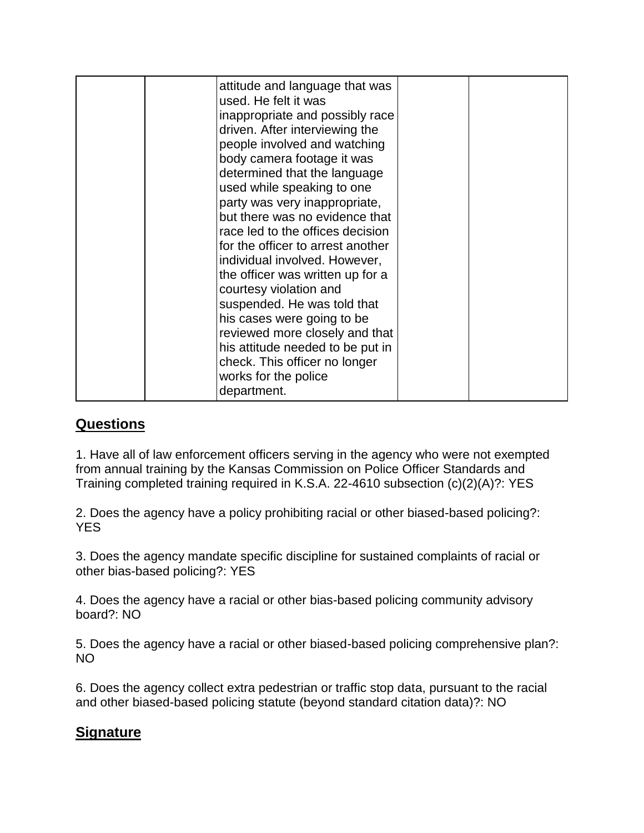| attitude and language that was<br>used. He felt it was<br>inappropriate and possibly race<br>driven. After interviewing the<br>people involved and watching<br>body camera footage it was<br>determined that the language<br>used while speaking to one<br>party was very inappropriate,<br>but there was no evidence that<br>race led to the offices decision<br>for the officer to arrest another<br>individual involved. However,<br>the officer was written up for a<br>courtesy violation and<br>suspended. He was told that<br>his cases were going to be<br>reviewed more closely and that<br>his attitude needed to be put in<br>check. This officer no longer<br>works for the police |  |
|------------------------------------------------------------------------------------------------------------------------------------------------------------------------------------------------------------------------------------------------------------------------------------------------------------------------------------------------------------------------------------------------------------------------------------------------------------------------------------------------------------------------------------------------------------------------------------------------------------------------------------------------------------------------------------------------|--|
| department.                                                                                                                                                                                                                                                                                                                                                                                                                                                                                                                                                                                                                                                                                    |  |

## **Questions**

1. Have all of law enforcement officers serving in the agency who were not exempted from annual training by the Kansas Commission on Police Officer Standards and Training completed training required in K.S.A. 22-4610 subsection (c)(2)(A)?: YES

2. Does the agency have a policy prohibiting racial or other biased-based policing?: **YES** 

3. Does the agency mandate specific discipline for sustained complaints of racial or other bias-based policing?: YES

4. Does the agency have a racial or other bias-based policing community advisory board?: NO

5. Does the agency have a racial or other biased-based policing comprehensive plan?: NO

6. Does the agency collect extra pedestrian or traffic stop data, pursuant to the racial and other biased-based policing statute (beyond standard citation data)?: NO

## **Signature**